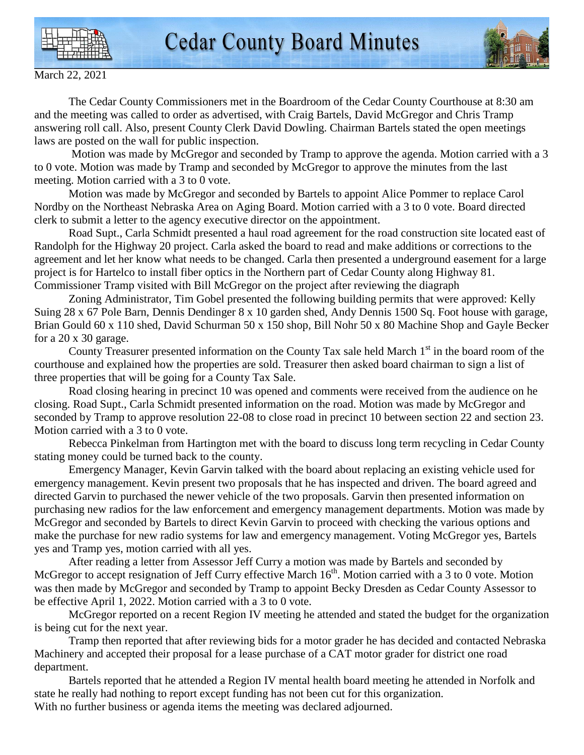



March 22, 2021

 The Cedar County Commissioners met in the Boardroom of the Cedar County Courthouse at 8:30 am and the meeting was called to order as advertised, with Craig Bartels, David McGregor and Chris Tramp answering roll call. Also, present County Clerk David Dowling. Chairman Bartels stated the open meetings laws are posted on the wall for public inspection.

 Motion was made by McGregor and seconded by Tramp to approve the agenda. Motion carried with a 3 to 0 vote. Motion was made by Tramp and seconded by McGregor to approve the minutes from the last meeting. Motion carried with a 3 to 0 vote.

 Motion was made by McGregor and seconded by Bartels to appoint Alice Pommer to replace Carol Nordby on the Northeast Nebraska Area on Aging Board. Motion carried with a 3 to 0 vote. Board directed clerk to submit a letter to the agency executive director on the appointment.

 Road Supt., Carla Schmidt presented a haul road agreement for the road construction site located east of Randolph for the Highway 20 project. Carla asked the board to read and make additions or corrections to the agreement and let her know what needs to be changed. Carla then presented a underground easement for a large project is for Hartelco to install fiber optics in the Northern part of Cedar County along Highway 81. Commissioner Tramp visited with Bill McGregor on the project after reviewing the diagraph

 Zoning Administrator, Tim Gobel presented the following building permits that were approved: Kelly Suing 28 x 67 Pole Barn, Dennis Dendinger 8 x 10 garden shed, Andy Dennis 1500 Sq. Foot house with garage, Brian Gould 60 x 110 shed, David Schurman 50 x 150 shop, Bill Nohr 50 x 80 Machine Shop and Gayle Becker for a 20 x 30 garage.

County Treasurer presented information on the County Tax sale held March  $1<sup>st</sup>$  in the board room of the courthouse and explained how the properties are sold. Treasurer then asked board chairman to sign a list of three properties that will be going for a County Tax Sale.

 Road closing hearing in precinct 10 was opened and comments were received from the audience on he closing. Road Supt., Carla Schmidt presented information on the road. Motion was made by McGregor and seconded by Tramp to approve resolution 22-08 to close road in precinct 10 between section 22 and section 23. Motion carried with a 3 to 0 vote.

 Rebecca Pinkelman from Hartington met with the board to discuss long term recycling in Cedar County stating money could be turned back to the county.

 Emergency Manager, Kevin Garvin talked with the board about replacing an existing vehicle used for emergency management. Kevin present two proposals that he has inspected and driven. The board agreed and directed Garvin to purchased the newer vehicle of the two proposals. Garvin then presented information on purchasing new radios for the law enforcement and emergency management departments. Motion was made by McGregor and seconded by Bartels to direct Kevin Garvin to proceed with checking the various options and make the purchase for new radio systems for law and emergency management. Voting McGregor yes, Bartels yes and Tramp yes, motion carried with all yes.

 After reading a letter from Assessor Jeff Curry a motion was made by Bartels and seconded by McGregor to accept resignation of Jeff Curry effective March 16<sup>th</sup>. Motion carried with a 3 to 0 vote. Motion was then made by McGregor and seconded by Tramp to appoint Becky Dresden as Cedar County Assessor to be effective April 1, 2022. Motion carried with a 3 to 0 vote.

 McGregor reported on a recent Region IV meeting he attended and stated the budget for the organization is being cut for the next year.

 Tramp then reported that after reviewing bids for a motor grader he has decided and contacted Nebraska Machinery and accepted their proposal for a lease purchase of a CAT motor grader for district one road department.

 Bartels reported that he attended a Region IV mental health board meeting he attended in Norfolk and state he really had nothing to report except funding has not been cut for this organization. With no further business or agenda items the meeting was declared adjourned.